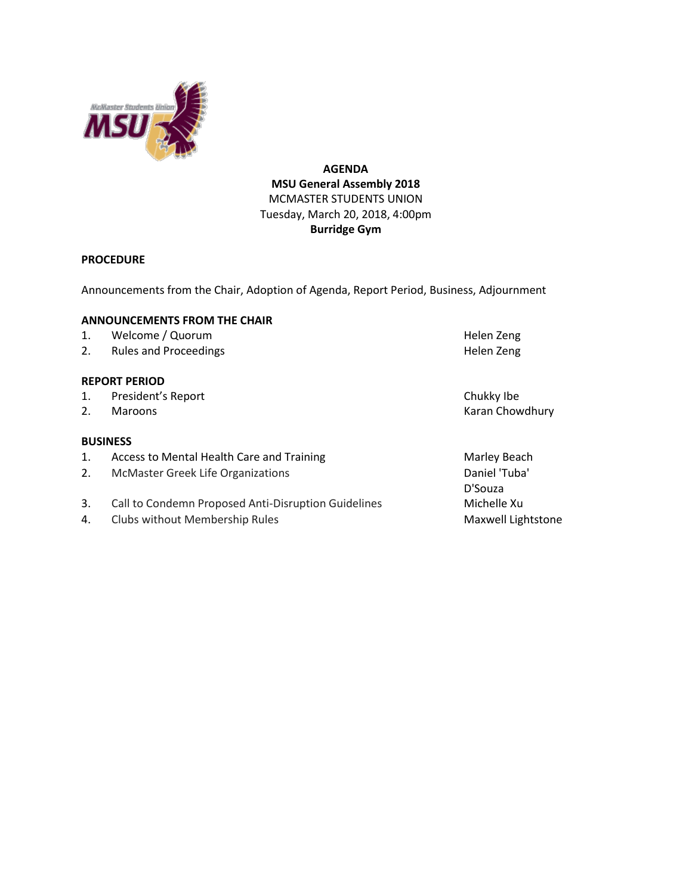

# **AGENDA MSU General Assembly 2018** MCMASTER STUDENTS UNION Tuesday, March 20, 2018, 4:00pm **Burridge Gym**

# **PROCEDURE**

Announcements from the Chair, Adoption of Agenda, Report Period, Business, Adjournment

## **ANNOUNCEMENTS FROM THE CHAIR**

- 1. Welcome / Quorum de and the state of the Helen Zeng
- 2. Rules and Proceedings **Helen Zeng Helen Zeng**

## **REPORT PERIOD**

- 1. President's Report **Chukky Ibe**
- 

## **BUSINESS**

- 1. Access to Mental Health Care and Training Marieum Marley Beach
- 2. McMaster Greek Life Organizations **Daniel 'Tuba'** Daniel 'Tuba'
- 3. Call to Condemn Proposed Anti-Disruption Guidelines Michelle Xu
- 4. Clubs without Membership Rules Maxwell Lightstone

2. Maroons **Karan Chowdhury** 

D'Souza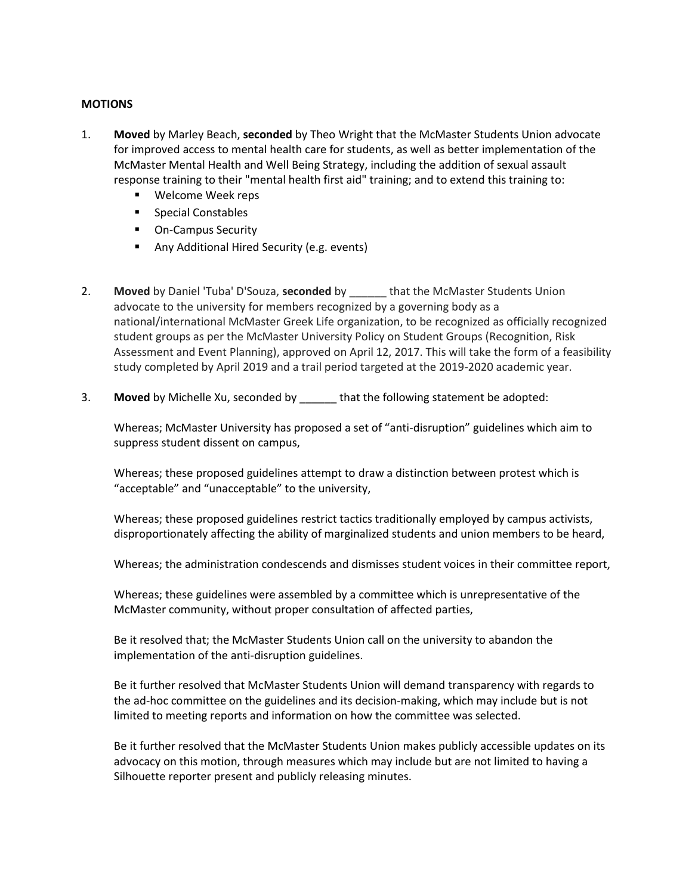## **MOTIONS**

- 1. **Moved** by Marley Beach, **seconded** by Theo Wright that the McMaster Students Union advocate for improved access to mental health care for students, as well as better implementation of the McMaster Mental Health and Well Being Strategy, including the addition of sexual assault response training to their "mental health first aid" training; and to extend this training to:
	- Welcome Week reps
	- Special Constables
	- On-Campus Security
	- Any Additional Hired Security (e.g. events)
- 2. **Moved** by Daniel 'Tuba' D'Souza, **seconded** by \_\_\_\_\_\_ that the McMaster Students Union advocate to the university for members recognized by a governing body as a national/international McMaster Greek Life organization, to be recognized as officially recognized student groups as per the McMaster University Policy on Student Groups (Recognition, Risk Assessment and Event Planning), approved on April 12, 2017. This will take the form of a feasibility study completed by April 2019 and a trail period targeted at the 2019-2020 academic year.
- 3. **Moved** by Michelle Xu, seconded by \_\_\_\_\_\_ that the following statement be adopted:

Whereas; McMaster University has proposed a set of "anti-disruption" guidelines which aim to suppress student dissent on campus,

Whereas; these proposed guidelines attempt to draw a distinction between protest which is "acceptable" and "unacceptable" to the university,

Whereas; these proposed guidelines restrict tactics traditionally employed by campus activists, disproportionately affecting the ability of marginalized students and union members to be heard,

Whereas; the administration condescends and dismisses student voices in their committee report,

Whereas; these guidelines were assembled by a committee which is unrepresentative of the McMaster community, without proper consultation of affected parties,

Be it resolved that; the McMaster Students Union call on the university to abandon the implementation of the anti-disruption guidelines.

Be it further resolved that McMaster Students Union will demand transparency with regards to the ad-hoc committee on the guidelines and its decision-making, which may include but is not limited to meeting reports and information on how the committee was selected.

Be it further resolved that the McMaster Students Union makes publicly accessible updates on its advocacy on this motion, through measures which may include but are not limited to having a Silhouette reporter present and publicly releasing minutes.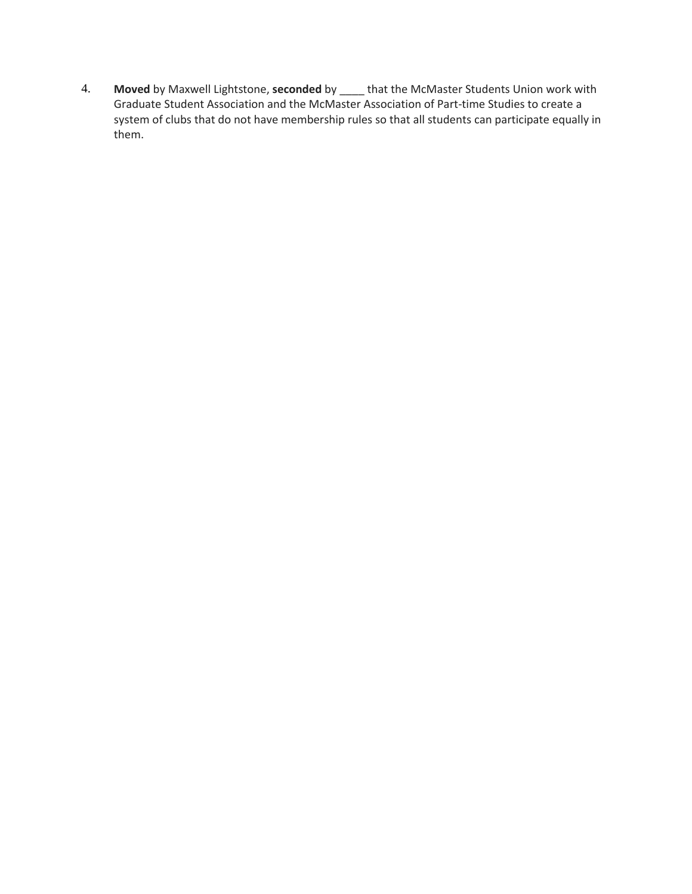4. **Moved** by Maxwell Lightstone, **seconded** by \_\_\_\_ that the McMaster Students Union work with Graduate Student Association and the McMaster Association of Part-time Studies to create a system of clubs that do not have membership rules so that all students can participate equally in them.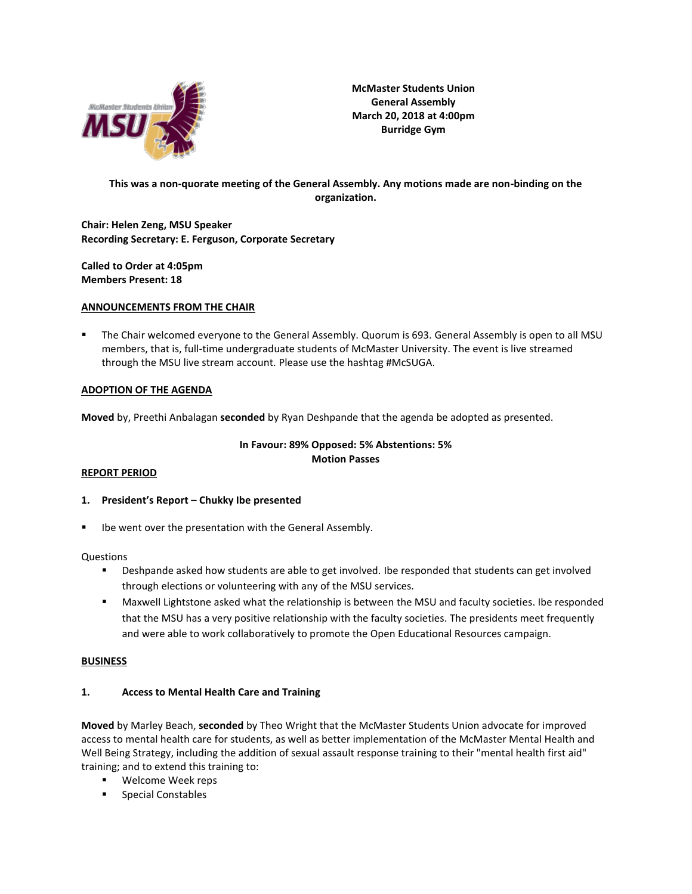

**McMaster Students Union General Assembly March 20, 2018 at 4:00pm Burridge Gym**

# **This was a non-quorate meeting of the General Assembly. Any motions made are non-binding on the organization.**

**Chair: Helen Zeng, MSU Speaker Recording Secretary: E. Ferguson, Corporate Secretary**

**Called to Order at 4:05pm Members Present: 18**

### **ANNOUNCEMENTS FROM THE CHAIR**

The Chair welcomed everyone to the General Assembly. Quorum is 693. General Assembly is open to all MSU members, that is, full-time undergraduate students of McMaster University. The event is live streamed through the MSU live stream account. Please use the hashtag #McSUGA.

### **ADOPTION OF THE AGENDA**

**Moved** by, Preethi Anbalagan **seconded** by Ryan Deshpande that the agenda be adopted as presented.

## **In Favour: 89% Opposed: 5% Abstentions: 5% Motion Passes**

#### **REPORT PERIOD**

- **1. President's Report – Chukky Ibe presented**
- Ibe went over the presentation with the General Assembly.

Questions

- Deshpande asked how students are able to get involved. Ibe responded that students can get involved through elections or volunteering with any of the MSU services.
- Maxwell Lightstone asked what the relationship is between the MSU and faculty societies. Ibe responded that the MSU has a very positive relationship with the faculty societies. The presidents meet frequently and were able to work collaboratively to promote the Open Educational Resources campaign.

#### **BUSINESS**

## **1. Access to Mental Health Care and Training**

**Moved** by Marley Beach, **seconded** by Theo Wright that the McMaster Students Union advocate for improved access to mental health care for students, as well as better implementation of the McMaster Mental Health and Well Being Strategy, including the addition of sexual assault response training to their "mental health first aid" training; and to extend this training to:

- Welcome Week reps
- Special Constables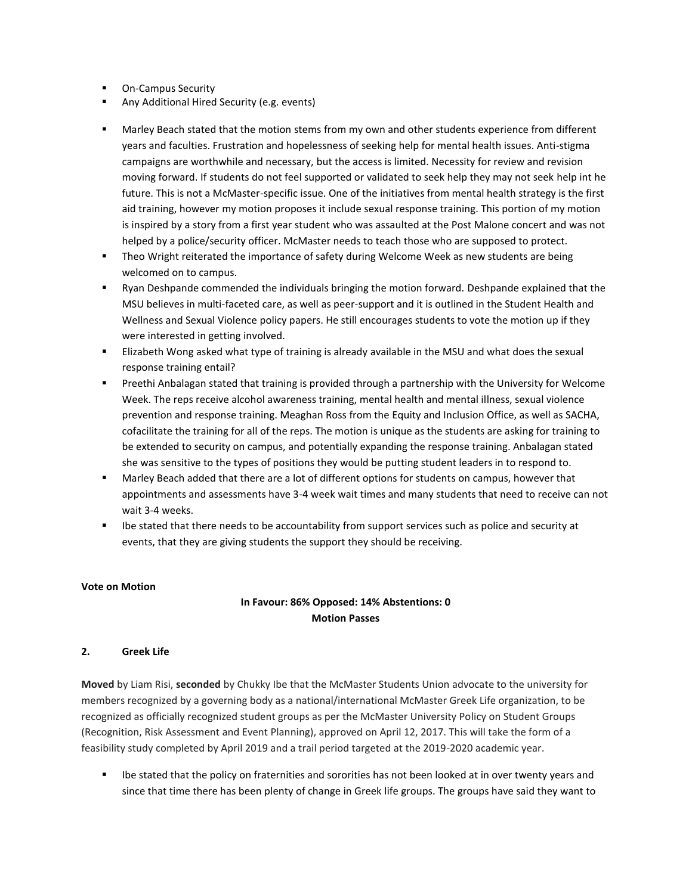- **On-Campus Security**
- Any Additional Hired Security (e.g. events)
- Marley Beach stated that the motion stems from my own and other students experience from different years and faculties. Frustration and hopelessness of seeking help for mental health issues. Anti-stigma campaigns are worthwhile and necessary, but the access is limited. Necessity for review and revision moving forward. If students do not feel supported or validated to seek help they may not seek help int he future. This is not a McMaster-specific issue. One of the initiatives from mental health strategy is the first aid training, however my motion proposes it include sexual response training. This portion of my motion is inspired by a story from a first year student who was assaulted at the Post Malone concert and was not helped by a police/security officer. McMaster needs to teach those who are supposed to protect.
- **Theo Wright reiterated the importance of safety during Welcome Week as new students are being** welcomed on to campus.
- Ryan Deshpande commended the individuals bringing the motion forward. Deshpande explained that the MSU believes in multi-faceted care, as well as peer-support and it is outlined in the Student Health and Wellness and Sexual Violence policy papers. He still encourages students to vote the motion up if they were interested in getting involved.
- **EXECT ELIZABETH WOON ASKED WHAT THE STARK IS ALLY ASKED ASKED FOR A SKEW ASKED** SERVIBLE IN SUIDEN SEXUAL **FIGULAR** response training entail?
- Preethi Anbalagan stated that training is provided through a partnership with the University for Welcome Week. The reps receive alcohol awareness training, mental health and mental illness, sexual violence prevention and response training. Meaghan Ross from the Equity and Inclusion Office, as well as SACHA, cofacilitate the training for all of the reps. The motion is unique as the students are asking for training to be extended to security on campus, and potentially expanding the response training. Anbalagan stated she was sensitive to the types of positions they would be putting student leaders in to respond to.
- Marley Beach added that there are a lot of different options for students on campus, however that appointments and assessments have 3-4 week wait times and many students that need to receive can not wait 3-4 weeks.
- Ibe stated that there needs to be accountability from support services such as police and security at events, that they are giving students the support they should be receiving.

## **Vote on Motion**

# **In Favour: 86% Opposed: 14% Abstentions: 0 Motion Passes**

## **2. Greek Life**

**Moved** by Liam Risi, **seconded** by Chukky Ibe that the McMaster Students Union advocate to the university for members recognized by a governing body as a national/international McMaster Greek Life organization, to be recognized as officially recognized student groups as per the McMaster University Policy on Student Groups (Recognition, Risk Assessment and Event Planning), approved on April 12, 2017. This will take the form of a feasibility study completed by April 2019 and a trail period targeted at the 2019-2020 academic year.

Ibe stated that the policy on fraternities and sororities has not been looked at in over twenty years and since that time there has been plenty of change in Greek life groups. The groups have said they want to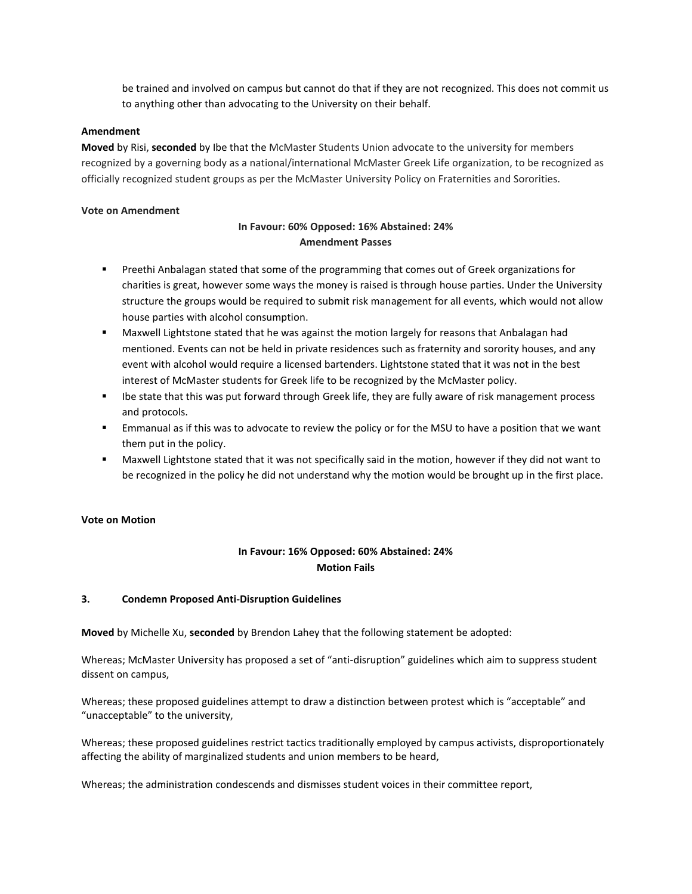be trained and involved on campus but cannot do that if they are not recognized. This does not commit us to anything other than advocating to the University on their behalf.

### **Amendment**

**Moved** by Risi, **seconded** by Ibe that the McMaster Students Union advocate to the university for members recognized by a governing body as a national/international McMaster Greek Life organization, to be recognized as officially recognized student groups as per the McMaster University Policy on Fraternities and Sororities.

#### **Vote on Amendment**

## **In Favour: 60% Opposed: 16% Abstained: 24% Amendment Passes**

- **Preethi Anbalagan stated that some of the programming that comes out of Greek organizations for** charities is great, however some ways the money is raised is through house parties. Under the University structure the groups would be required to submit risk management for all events, which would not allow house parties with alcohol consumption.
- Maxwell Lightstone stated that he was against the motion largely for reasons that Anbalagan had mentioned. Events can not be held in private residences such as fraternity and sorority houses, and any event with alcohol would require a licensed bartenders. Lightstone stated that it was not in the best interest of McMaster students for Greek life to be recognized by the McMaster policy.
- Ibe state that this was put forward through Greek life, they are fully aware of risk management process and protocols.
- Emmanual as if this was to advocate to review the policy or for the MSU to have a position that we want them put in the policy.
- Maxwell Lightstone stated that it was not specifically said in the motion, however if they did not want to be recognized in the policy he did not understand why the motion would be brought up in the first place.

### **Vote on Motion**

# **In Favour: 16% Opposed: 60% Abstained: 24% Motion Fails**

## **3. Condemn Proposed Anti-Disruption Guidelines**

**Moved** by Michelle Xu, **seconded** by Brendon Lahey that the following statement be adopted:

Whereas; McMaster University has proposed a set of "anti-disruption" guidelines which aim to suppress student dissent on campus,

Whereas; these proposed guidelines attempt to draw a distinction between protest which is "acceptable" and "unacceptable" to the university,

Whereas; these proposed guidelines restrict tactics traditionally employed by campus activists, disproportionately affecting the ability of marginalized students and union members to be heard,

Whereas; the administration condescends and dismisses student voices in their committee report,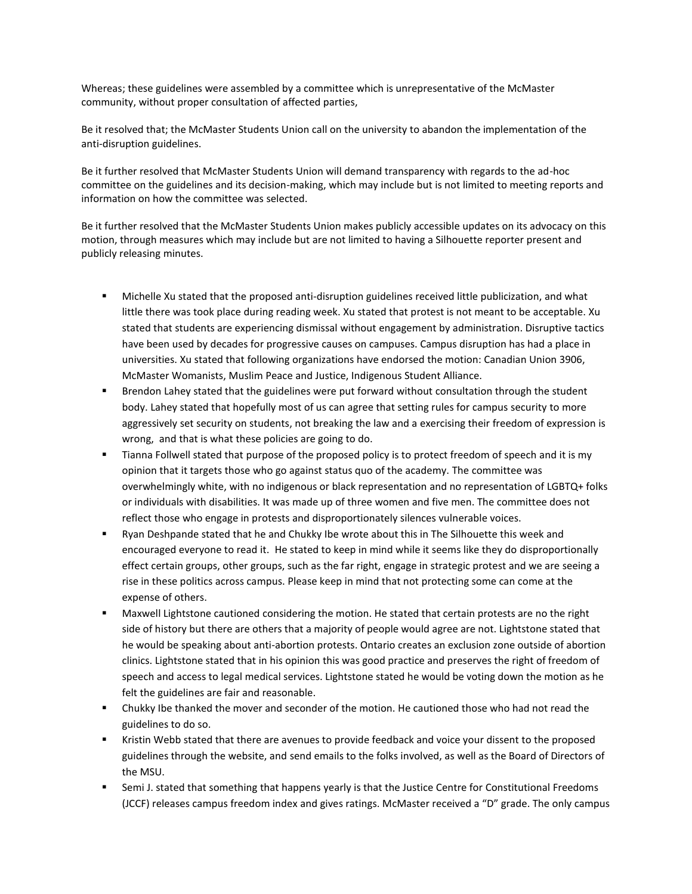Whereas; these guidelines were assembled by a committee which is unrepresentative of the McMaster community, without proper consultation of affected parties,

Be it resolved that; the McMaster Students Union call on the university to abandon the implementation of the anti-disruption guidelines.

Be it further resolved that McMaster Students Union will demand transparency with regards to the ad-hoc committee on the guidelines and its decision-making, which may include but is not limited to meeting reports and information on how the committee was selected.

Be it further resolved that the McMaster Students Union makes publicly accessible updates on its advocacy on this motion, through measures which may include but are not limited to having a Silhouette reporter present and publicly releasing minutes.

- Michelle Xu stated that the proposed anti-disruption guidelines received little publicization, and what little there was took place during reading week. Xu stated that protest is not meant to be acceptable. Xu stated that students are experiencing dismissal without engagement by administration. Disruptive tactics have been used by decades for progressive causes on campuses. Campus disruption has had a place in universities. Xu stated that following organizations have endorsed the motion: Canadian Union 3906, McMaster Womanists, Muslim Peace and Justice, Indigenous Student Alliance.
- **■** Brendon Lahey stated that the guidelines were put forward without consultation through the student body. Lahey stated that hopefully most of us can agree that setting rules for campus security to more aggressively set security on students, not breaking the law and a exercising their freedom of expression is wrong, and that is what these policies are going to do.
- Tianna Follwell stated that purpose of the proposed policy is to protect freedom of speech and it is my opinion that it targets those who go against status quo of the academy. The committee was overwhelmingly white, with no indigenous or black representation and no representation of LGBTQ+ folks or individuals with disabilities. It was made up of three women and five men. The committee does not reflect those who engage in protests and disproportionately silences vulnerable voices.
- Ryan Deshpande stated that he and Chukky Ibe wrote about this in The Silhouette this week and encouraged everyone to read it. He stated to keep in mind while it seems like they do disproportionally effect certain groups, other groups, such as the far right, engage in strategic protest and we are seeing a rise in these politics across campus. Please keep in mind that not protecting some can come at the expense of others.
- Maxwell Lightstone cautioned considering the motion. He stated that certain protests are no the right side of history but there are others that a majority of people would agree are not. Lightstone stated that he would be speaking about anti-abortion protests. Ontario creates an exclusion zone outside of abortion clinics. Lightstone stated that in his opinion this was good practice and preserves the right of freedom of speech and access to legal medical services. Lightstone stated he would be voting down the motion as he felt the guidelines are fair and reasonable.
- Chukky Ibe thanked the mover and seconder of the motion. He cautioned those who had not read the guidelines to do so.
- Kristin Webb stated that there are avenues to provide feedback and voice your dissent to the proposed guidelines through the website, and send emails to the folks involved, as well as the Board of Directors of the MSU.
- Semi J. stated that something that happens yearly is that the Justice Centre for Constitutional Freedoms (JCCF) releases campus freedom index and gives ratings. McMaster received a "D" grade. The only campus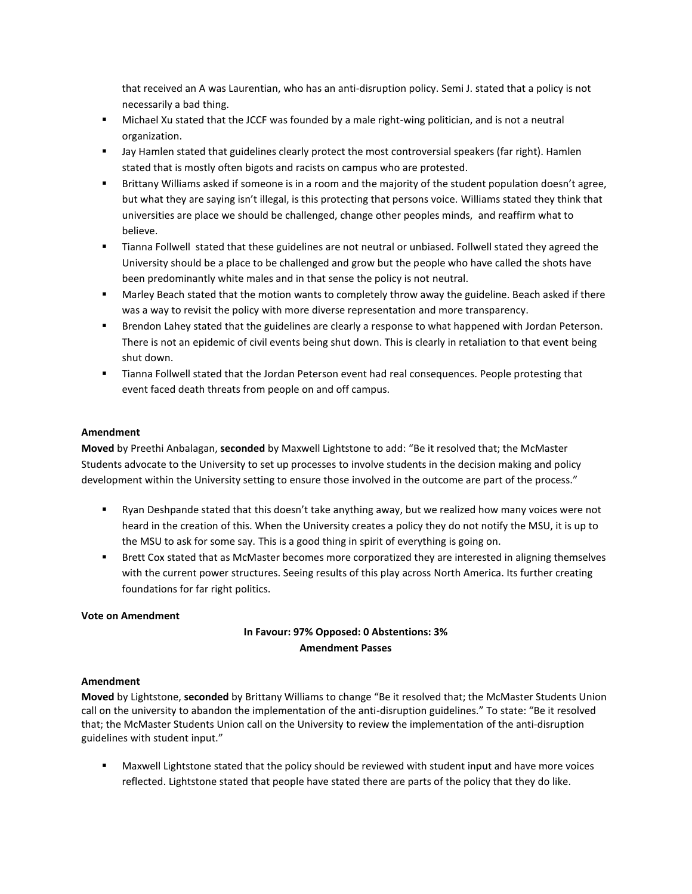that received an A was Laurentian, who has an anti-disruption policy. Semi J. stated that a policy is not necessarily a bad thing.

- Michael Xu stated that the JCCF was founded by a male right-wing politician, and is not a neutral organization.
- Jay Hamlen stated that guidelines clearly protect the most controversial speakers (far right). Hamlen stated that is mostly often bigots and racists on campus who are protested.
- Brittany Williams asked if someone is in a room and the majority of the student population doesn't agree, but what they are saying isn't illegal, is this protecting that persons voice. Williams stated they think that universities are place we should be challenged, change other peoples minds, and reaffirm what to believe.
- Tianna Follwell stated that these guidelines are not neutral or unbiased. Follwell stated they agreed the University should be a place to be challenged and grow but the people who have called the shots have been predominantly white males and in that sense the policy is not neutral.
- Marley Beach stated that the motion wants to completely throw away the guideline. Beach asked if there was a way to revisit the policy with more diverse representation and more transparency.
- Brendon Lahey stated that the guidelines are clearly a response to what happened with Jordan Peterson. There is not an epidemic of civil events being shut down. This is clearly in retaliation to that event being shut down.
- **■** Tianna Follwell stated that the Jordan Peterson event had real consequences. People protesting that event faced death threats from people on and off campus.

### **Amendment**

**Moved** by Preethi Anbalagan, **seconded** by Maxwell Lightstone to add: "Be it resolved that; the McMaster Students advocate to the University to set up processes to involve students in the decision making and policy development within the University setting to ensure those involved in the outcome are part of the process."

- Ryan Deshpande stated that this doesn't take anything away, but we realized how many voices were not heard in the creation of this. When the University creates a policy they do not notify the MSU, it is up to the MSU to ask for some say. This is a good thing in spirit of everything is going on.
- Brett Cox stated that as McMaster becomes more corporatized they are interested in aligning themselves with the current power structures. Seeing results of this play across North America. Its further creating foundations for far right politics.

#### **Vote on Amendment**

# **In Favour: 97% Opposed: 0 Abstentions: 3% Amendment Passes**

#### **Amendment**

**Moved** by Lightstone, **seconded** by Brittany Williams to change "Be it resolved that; the McMaster Students Union call on the university to abandon the implementation of the anti-disruption guidelines." To state: "Be it resolved that; the McMaster Students Union call on the University to review the implementation of the anti-disruption guidelines with student input."

■ Maxwell Lightstone stated that the policy should be reviewed with student input and have more voices reflected. Lightstone stated that people have stated there are parts of the policy that they do like.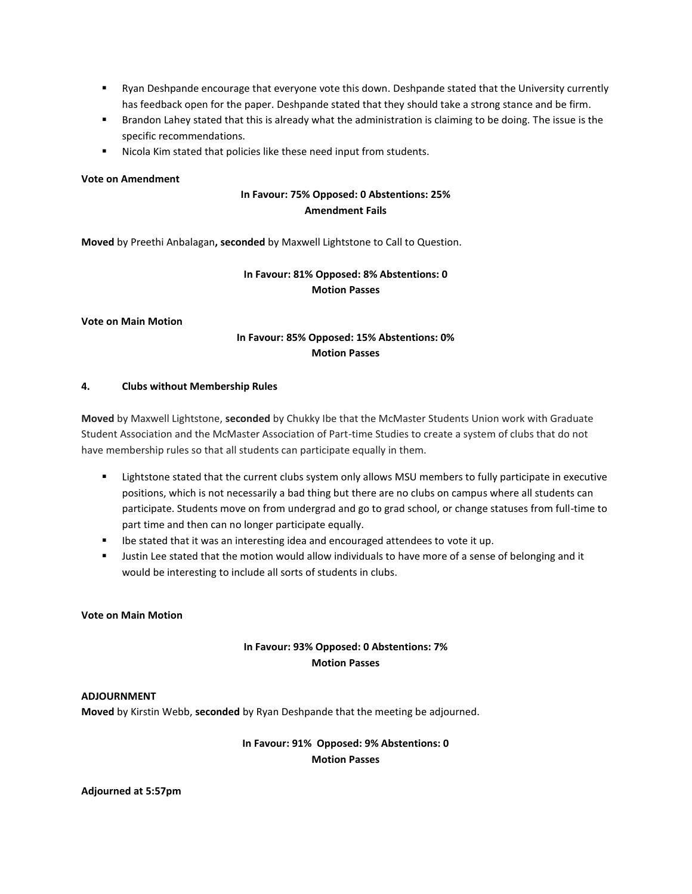- Ryan Deshpande encourage that everyone vote this down. Deshpande stated that the University currently has feedback open for the paper. Deshpande stated that they should take a strong stance and be firm.
- Brandon Lahey stated that this is already what the administration is claiming to be doing. The issue is the specific recommendations.
- Nicola Kim stated that policies like these need input from students.

### **Vote on Amendment**

## **In Favour: 75% Opposed: 0 Abstentions: 25% Amendment Fails**

**Moved** by Preethi Anbalagan**, seconded** by Maxwell Lightstone to Call to Question.

# **In Favour: 81% Opposed: 8% Abstentions: 0 Motion Passes**

#### **Vote on Main Motion**

# **In Favour: 85% Opposed: 15% Abstentions: 0% Motion Passes**

#### **4. Clubs without Membership Rules**

**Moved** by Maxwell Lightstone, **seconded** by Chukky Ibe that the McMaster Students Union work with Graduate Student Association and the McMaster Association of Part-time Studies to create a system of clubs that do not have membership rules so that all students can participate equally in them.

- Lightstone stated that the current clubs system only allows MSU members to fully participate in executive positions, which is not necessarily a bad thing but there are no clubs on campus where all students can participate. Students move on from undergrad and go to grad school, or change statuses from full-time to part time and then can no longer participate equally.
- Ibe stated that it was an interesting idea and encouraged attendees to vote it up.
- Justin Lee stated that the motion would allow individuals to have more of a sense of belonging and it would be interesting to include all sorts of students in clubs.

## **Vote on Main Motion**

# **In Favour: 93% Opposed: 0 Abstentions: 7% Motion Passes**

## **ADJOURNMENT**

**Moved** by Kirstin Webb, **seconded** by Ryan Deshpande that the meeting be adjourned.

## **In Favour: 91% Opposed: 9% Abstentions: 0 Motion Passes**

#### **Adjourned at 5:57pm**